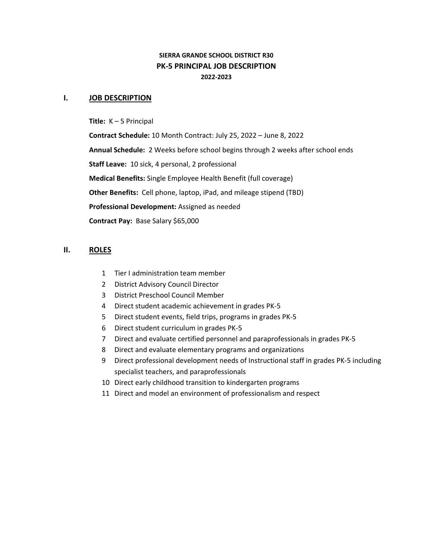# **SIERRA GRANDE SCHOOL DISTRICT R30 PK-5 PRINCIPAL JOB DESCRIPTION 2022-2023**

#### **I. JOB DESCRIPTION**

**Title:** K – 5 Principal

**Contract Schedule:** 10 Month Contract: July 25, 2022 – June 8, 2022 **Annual Schedule:** 2 Weeks before school begins through 2 weeks after school ends **Staff Leave:** 10 sick, 4 personal, 2 professional **Medical Benefits:** Single Employee Health Benefit (full coverage) **Other Benefits:** Cell phone, laptop, iPad, and mileage stipend (TBD) **Professional Development:** Assigned as needed **Contract Pay:** Base Salary \$65,000

## **II. ROLES**

- 1 Tier I administration team member
- 2 District Advisory Council Director
- 3 District Preschool Council Member
- 4 Direct student academic achievement in grades PK-5
- 5 Direct student events, field trips, programs in grades PK-5
- 6 Direct student curriculum in grades PK-5
- 7 Direct and evaluate certified personnel and paraprofessionals in grades PK-5
- 8 Direct and evaluate elementary programs and organizations
- 9 Direct professional development needs of Instructional staff in grades PK-5 including specialist teachers, and paraprofessionals
- 10 Direct early childhood transition to kindergarten programs
- 11 Direct and model an environment of professionalism and respect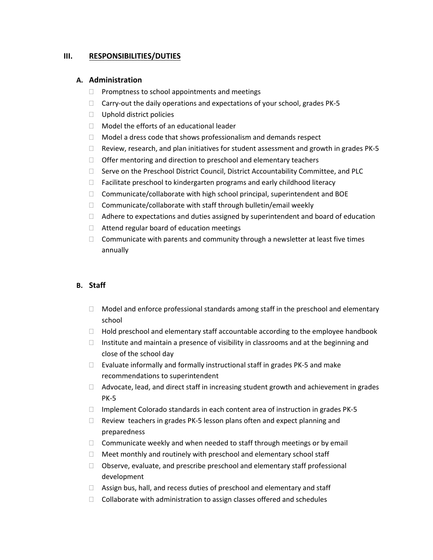### **III. RESPONSIBILITIES/DUTIES**

#### **A. Administration**

- $\Box$  Promptness to school appointments and meetings
- $\Box$  Carry-out the daily operations and expectations of your school, grades PK-5
- $\Box$  Uphold district policies
- $\Box$  Model the efforts of an educational leader
- $\Box$  Model a dress code that shows professionalism and demands respect
- $\Box$  Review, research, and plan initiatives for student assessment and growth in grades PK-5
- $\Box$  Offer mentoring and direction to preschool and elementary teachers
- $\Box$  Serve on the Preschool District Council, District Accountability Committee, and PLC
- $\Box$  Facilitate preschool to kindergarten programs and early childhood literacy
- $\Box$  Communicate/collaborate with high school principal, superintendent and BOE
- $\Box$  Communicate/collaborate with staff through bulletin/email weekly
- $\Box$  Adhere to expectations and duties assigned by superintendent and board of education
- □ Attend regular board of education meetings
- $\Box$  Communicate with parents and community through a newsletter at least five times annually

#### **B. Staff**

- $\Box$  Model and enforce professional standards among staff in the preschool and elementary school
- $\Box$  Hold preschool and elementary staff accountable according to the employee handbook
- $\Box$  Institute and maintain a presence of visibility in classrooms and at the beginning and close of the school day
- $\Box$  Evaluate informally and formally instructional staff in grades PK-5 and make recommendations to superintendent
- $\Box$  Advocate, lead, and direct staff in increasing student growth and achievement in grades PK-5
- $\Box$  Implement Colorado standards in each content area of instruction in grades PK-5
- $\Box$  Review teachers in grades PK-5 lesson plans often and expect planning and preparedness
- $\Box$  Communicate weekly and when needed to staff through meetings or by email
- $\Box$  Meet monthly and routinely with preschool and elementary school staff
- $\Box$  Observe, evaluate, and prescribe preschool and elementary staff professional development
- $\Box$  Assign bus, hall, and recess duties of preschool and elementary and staff
- $\Box$  Collaborate with administration to assign classes offered and schedules